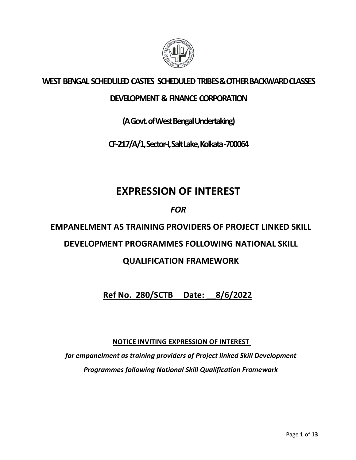

## WEST BENGAL SCHEDULED CASTES SCHEDULED TRIBES & OTHER BACKWARD CLASSES

## DEVELOPMENT & FINANCE CORPORATION

(A Govt. of West Bengal Undertaking)

CF-217/A/1, Sector-I, Salt Lake, Kolkata -700064

# EXPRESSION OF INTEREST

FOR

EMPANELMENT AS TRAINING PROVIDERS OF PROJECT LINKED SKILL

## DEVELOPMENT PROGRAMMES FOLLOWING NATIONAL SKILL

## QUALIFICATION FRAMEWORK

Ref No. 280/SCTB Date: \_\_8/6/2022

NOTICE INVITING EXPRESSION OF INTEREST

for empanelment as training providers of Project linked Skill Development Programmes following National Skill Qualification Framework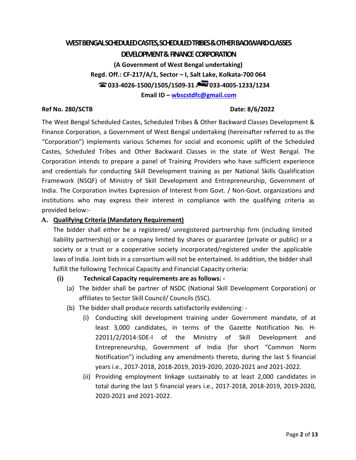### WEST BENGAL SCHEDULED CASTES, SCHEDULED TRIBES & OTHER BACKWARD CLASSES

#### DEVELOPMENT & FINANCE CORPORATION

(A Government of West Bengal undertaking) Regd. Off.: CF-217/A/1, Sector – I, Salt Lake, Kolkata-700 064  $\approx$  033-4026-1500/1505/1509-31  $\approx$  033-4005-1233/1234 Email ID – wbscstdfc@gmail.com

#### Ref No. 280/SCTB **Date: 8/6/2022**

The West Bengal Scheduled Castes, Scheduled Tribes & Other Backward Classes Development & Finance Corporation, a Government of West Bengal undertaking (hereinafter referred to as the "Corporation") implements various Schemes for social and economic uplift of the Scheduled Castes, Scheduled Tribes and Other Backward Classes in the state of West Bengal. The Corporation intends to prepare a panel of Training Providers who have sufficient experience and credentials for conducting Skill Development training as per National Skills Qualification Framework (NSQF) of Ministry of Skill Development and Entrepreneurship, Government of India. The Corporation invites Expression of Interest from Govt. / Non-Govt. organizations and institutions who may express their interest in compliance with the qualifying criteria as provided below:-

#### A. Qualifying Criteria (Mandatory Requirement)

The bidder shall either be a registered/ unregistered partnership firm (including limited liability partnership) or a company limited by shares or guarantee (private or public) or a society or a trust or a cooperative society incorporated/registered under the applicable laws of India. Joint bids in a consortium will not be entertained. In addition, the bidder shall fulfill the following Technical Capacity and Financial Capacity criteria:

#### (i) Technical Capacity requirements are as follows: -

- (a) The bidder shall be partner of NSDC (National Skill Development Corporation) or affiliates to Sector Skill Council/ Councils (SSC).
- (b) The bidder shall produce records satisfactorily evidencing:
	- (i) Conducting skill development training under Government mandate, of at least 3,000 candidates, in terms of the Gazette Notification No. H-22011/2/2014-SDE-I of the Ministry of Skill Development and Entrepreneurship, Government of India (for short "Common Norm Notification") including any amendments thereto, during the last 5 financial years i.e., 2017-2018, 2018-2019, 2019-2020, 2020-2021 and 2021-2022.
	- (ii) Providing employment linkage sustainably to at least 2,000 candidates in total during the last 5 financial years i.e., 2017-2018, 2018-2019, 2019-2020, 2020-2021 and 2021-2022.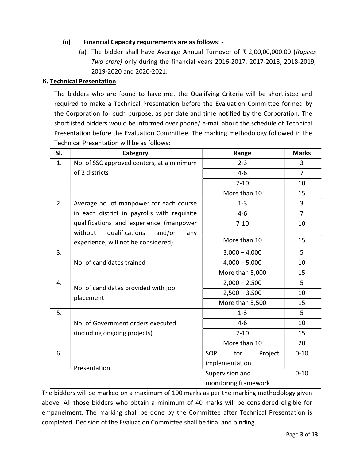#### (ii) Financial Capacity requirements are as follows: -

(a) The bidder shall have Average Annual Turnover of  $\bar{\tau}$  2,00,00,000.00 (Rupees Two crore) only during the financial years 2016-2017, 2017-2018, 2018-2019, 2019-2020 and 2020-2021.

#### B. Technical Presentation

The bidders who are found to have met the Qualifying Criteria will be shortlisted and required to make a Technical Presentation before the Evaluation Committee formed by the Corporation for such purpose, as per date and time notified by the Corporation. The shortlisted bidders would be informed over phone/ e-mail about the schedule of Technical Presentation before the Evaluation Committee. The marking methodology followed in the Technical Presentation will be as follows:

| SI. | Range<br>Category                                |                              |                |  |  |  |
|-----|--------------------------------------------------|------------------------------|----------------|--|--|--|
| 1.  | No. of SSC approved centers, at a minimum        | $2 - 3$                      | 3              |  |  |  |
|     | of 2 districts                                   | $4 - 6$                      | $\overline{7}$ |  |  |  |
|     |                                                  | $7 - 10$                     | 10             |  |  |  |
|     |                                                  | More than 10                 | 15             |  |  |  |
| 2.  | Average no. of manpower for each course          | $1 - 3$                      | 3              |  |  |  |
|     | in each district in payrolls with requisite      | $4 - 6$                      | $\overline{7}$ |  |  |  |
|     | qualifications and experience (manpower          | $7 - 10$                     | 10             |  |  |  |
|     | without<br>qualifications<br>and/or<br>any       |                              |                |  |  |  |
|     | experience, will not be considered)              | More than 10                 | 15             |  |  |  |
| 3.  |                                                  | $3,000 - 4,000$              | 5              |  |  |  |
|     | No. of candidates trained                        | $4,000 - 5,000$              | 10             |  |  |  |
|     |                                                  | More than 5,000              | 15             |  |  |  |
| 4.  |                                                  | $2,000 - 2,500$              | 5              |  |  |  |
|     | No. of candidates provided with job<br>placement | $2,500 - 3,500$              | 10             |  |  |  |
|     |                                                  | More than 3,500              | 15             |  |  |  |
| 5.  |                                                  | $1 - 3$                      | 5              |  |  |  |
|     | No. of Government orders executed                | $4-6$                        | 10             |  |  |  |
|     | (including ongoing projects)                     | $7 - 10$                     | 15             |  |  |  |
|     |                                                  | More than 10                 | 20             |  |  |  |
| 6.  |                                                  | <b>SOP</b><br>for<br>Project | $0 - 10$       |  |  |  |
|     |                                                  | implementation               |                |  |  |  |
|     | Presentation                                     | Supervision and              | $0 - 10$       |  |  |  |
|     |                                                  | monitoring framework         |                |  |  |  |

The bidders will be marked on a maximum of 100 marks as per the marking methodology given above. All those bidders who obtain a minimum of 40 marks will be considered eligible for empanelment. The marking shall be done by the Committee after Technical Presentation is completed. Decision of the Evaluation Committee shall be final and binding.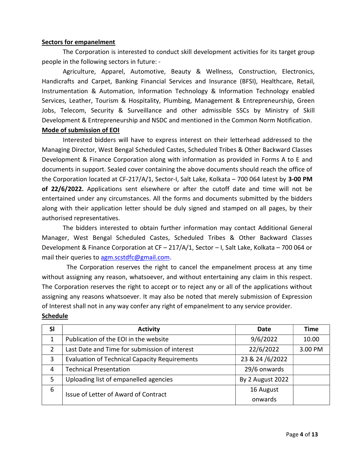#### Sectors for empanelment

The Corporation is interested to conduct skill development activities for its target group people in the following sectors in future: -

Agriculture, Apparel, Automotive, Beauty & Wellness, Construction, Electronics, Handicrafts and Carpet, Banking Financial Services and Insurance (BFSI), Healthcare, Retail, Instrumentation & Automation, Information Technology & Information Technology enabled Services, Leather, Tourism & Hospitality, Plumbing, Management & Entrepreneurship, Green Jobs, Telecom, Security & Surveillance and other admissible SSCs by Ministry of Skill Development & Entrepreneurship and NSDC and mentioned in the Common Norm Notification.

#### Mode of submission of EOI

Interested bidders will have to express interest on their letterhead addressed to the Managing Director, West Bengal Scheduled Castes, Scheduled Tribes & Other Backward Classes Development & Finance Corporation along with information as provided in Forms A to E and documents in support. Sealed cover containing the above documents should reach the office of the Corporation located at CF-217/A/1, Sector-I, Salt Lake, Kolkata - 700 064 latest by 3-00 PM of 22/6/2022. Applications sent elsewhere or after the cutoff date and time will not be entertained under any circumstances. All the forms and documents submitted by the bidders along with their application letter should be duly signed and stamped on all pages, by their authorised representatives.

The bidders interested to obtain further information may contact Additional General Manager, West Bengal Scheduled Castes, Scheduled Tribes & Other Backward Classes Development & Finance Corporation at CF – 217/A/1, Sector – I, Salt Lake, Kolkata – 700 064 or mail their queries to agm.scstdfc@gmail.com.

The Corporation reserves the right to cancel the empanelment process at any time without assigning any reason, whatsoever, and without entertaining any claim in this respect. The Corporation reserves the right to accept or to reject any or all of the applications without assigning any reasons whatsoever. It may also be noted that merely submission of Expression of Interest shall not in any way confer any right of empanelment to any service provider.

| <b>SI</b>     | <b>Activity</b>                                      | Date             | Time    |
|---------------|------------------------------------------------------|------------------|---------|
|               | Publication of the EOI in the website                | 9/6/2022         | 10.00   |
| $\mathcal{P}$ | Last Date and Time for submission of interest        | 22/6/2022        | 3.00 PM |
| 3             | <b>Evaluation of Technical Capacity Requirements</b> | 23 & 24 /6/2022  |         |
| 4             | <b>Technical Presentation</b>                        | 29/6 onwards     |         |
| 5             | Uploading list of empanelled agencies                | By 2 August 2022 |         |
| 6             | Issue of Letter of Award of Contract                 | 16 August        |         |
|               |                                                      | onwards          |         |

#### Schedule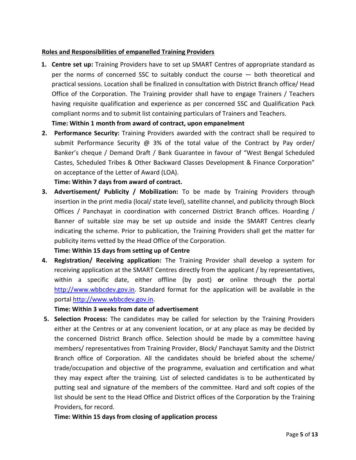#### Roles and Responsibilities of empanelled Training Providers

1. Centre set up: Training Providers have to set up SMART Centres of appropriate standard as per the norms of concerned SSC to suitably conduct the course — both theoretical and practical sessions. Location shall be finalized in consultation with District Branch office/ Head Office of the Corporation. The Training provider shall have to engage Trainers / Teachers having requisite qualification and experience as per concerned SSC and Qualification Pack compliant norms and to submit list containing particulars of Trainers and Teachers.

Time: Within 1 month from award of contract, upon empanelment

2. Performance Security: Training Providers awarded with the contract shall be required to submit Performance Security @ 3% of the total value of the Contract by Pay order/ Banker's cheque / Demand Draft / Bank Guarantee in favour of "West Bengal Scheduled Castes, Scheduled Tribes & Other Backward Classes Development & Finance Corporation" on acceptance of the Letter of Award (LOA).

#### Time: Within 7 days from award of contract.

3. Advertisement/ Publicity / Mobilization: To be made by Training Providers through insertion in the print media (local/ state level), satellite channel, and publicity through Block Offices / Panchayat in coordination with concerned District Branch offices. Hoarding / Banner of suitable size may be set up outside and inside the SMART Centres clearly indicating the scheme. Prior to publication, the Training Providers shall get the matter for publicity items vetted by the Head Office of the Corporation.

#### Time: Within 15 days from setting up of Centre

4. Registration/ Receiving application: The Training Provider shall develop a system for receiving application at the SMART Centres directly from the applicant / by representatives, within a specific date, either offline (by post) or online through the portal http://www.wbbcdev.gov.in. Standard format for the application will be available in the portal http://www.wbbcdev.gov.in.

#### Time: Within 3 weeks from date of advertisement

5. Selection Process: The candidates may be called for selection by the Training Providers either at the Centres or at any convenient location, or at any place as may be decided by the concerned District Branch office. Selection should be made by a committee having members/ representatives from Training Provider, Block/ Panchayat Samity and the District Branch office of Corporation. All the candidates should be briefed about the scheme/ trade/occupation and objective of the programme, evaluation and certification and what they may expect after the training. List of selected candidates is to be authenticated by putting seal and signature of the members of the committee. Hard and soft copies of the list should be sent to the Head Office and District offices of the Corporation by the Training Providers, for record.

#### Time: Within 15 days from closing of application process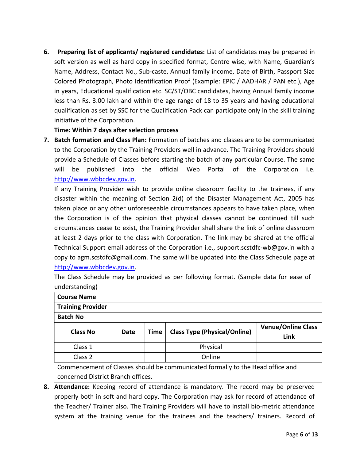6. Preparing list of applicants/ registered candidates: List of candidates may be prepared in soft version as well as hard copy in specified format, Centre wise, with Name, Guardian's Name, Address, Contact No., Sub-caste, Annual family income, Date of Birth, Passport Size Colored Photograph, Photo Identification Proof (Example: EPIC / AADHAR / PAN etc.), Age in years, Educational qualification etc. SC/ST/OBC candidates, having Annual family income less than Rs. 3.00 lakh and within the age range of 18 to 35 years and having educational qualification as set by SSC for the Qualification Pack can participate only in the skill training initiative of the Corporation.

#### Time: Within 7 days after selection process

7. Batch formation and Class Plan: Formation of batches and classes are to be communicated to the Corporation by the Training Providers well in advance. The Training Providers should provide a Schedule of Classes before starting the batch of any particular Course. The same will be published into the official Web Portal of the Corporation i.e. http://www.wbbcdev.gov.in.

If any Training Provider wish to provide online classroom facility to the trainees, if any disaster within the meaning of Section 2(d) of the Disaster Management Act, 2005 has taken place or any other unforeseeable circumstances appears to have taken place, when the Corporation is of the opinion that physical classes cannot be continued till such circumstances cease to exist, the Training Provider shall share the link of online classroom at least 2 days prior to the class with Corporation. The link may be shared at the official Technical Support email address of the Corporation i.e., support.scstdfc-wb@gov.in with a copy to agm.scstdfc@gmail.com. The same will be updated into the Class Schedule page at http://www.wbbcdev.gov.in.

The Class Schedule may be provided as per following format. (Sample data for ease of understanding)

| <b>Course Name</b>                                                                                                 |  |  |  |  |  |  |  |
|--------------------------------------------------------------------------------------------------------------------|--|--|--|--|--|--|--|
| <b>Training Provider</b>                                                                                           |  |  |  |  |  |  |  |
| <b>Batch No</b>                                                                                                    |  |  |  |  |  |  |  |
| <b>Venue/Online Class</b><br><b>Class Type (Physical/Online)</b><br><b>Class No</b><br>Date<br><b>Time</b><br>Link |  |  |  |  |  |  |  |
| Physical<br>Class 1                                                                                                |  |  |  |  |  |  |  |
| Online<br>Class 2                                                                                                  |  |  |  |  |  |  |  |
| Commencement of Classes should be communicated formally to the Head office and                                     |  |  |  |  |  |  |  |

concerned District Branch offices.

8. Attendance: Keeping record of attendance is mandatory. The record may be preserved properly both in soft and hard copy. The Corporation may ask for record of attendance of the Teacher/ Trainer also. The Training Providers will have to install bio-metric attendance system at the training venue for the trainees and the teachers/ trainers. Record of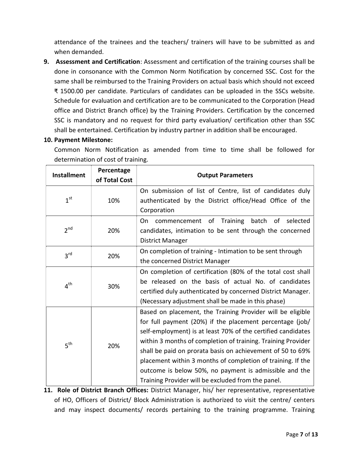attendance of the trainees and the teachers/ trainers will have to be submitted as and when demanded.

9. Assessment and Certification: Assessment and certification of the training courses shall be done in consonance with the Common Norm Notification by concerned SSC. Cost for the same shall be reimbursed to the Training Providers on actual basis which should not exceed ₹ 1500.00 per candidate. Particulars of candidates can be uploaded in the SSCs website. Schedule for evaluation and certification are to be communicated to the Corporation (Head office and District Branch office) by the Training Providers. Certification by the concerned SSC is mandatory and no request for third party evaluation/ certification other than SSC shall be entertained. Certification by industry partner in addition shall be encouraged.

#### 10. Payment Milestone:

Common Norm Notification as amended from time to time shall be followed for determination of cost of training.

| <b>Installment</b> | Percentage<br>of Total Cost | <b>Output Parameters</b>                                                                                                                                                                                                                                                                                                                                                                                                                                                                            |
|--------------------|-----------------------------|-----------------------------------------------------------------------------------------------------------------------------------------------------------------------------------------------------------------------------------------------------------------------------------------------------------------------------------------------------------------------------------------------------------------------------------------------------------------------------------------------------|
| 1 <sup>st</sup>    | 10%                         | On submission of list of Centre, list of candidates duly<br>authenticated by the District office/Head Office of the<br>Corporation                                                                                                                                                                                                                                                                                                                                                                  |
| 2 <sup>nd</sup>    | 20%                         | Training batch of selected<br>On<br>of<br>commencement<br>candidates, intimation to be sent through the concerned<br>District Manager                                                                                                                                                                                                                                                                                                                                                               |
| 3 <sup>rd</sup>    | 20%                         | On completion of training - Intimation to be sent through<br>the concerned District Manager                                                                                                                                                                                                                                                                                                                                                                                                         |
| $4^{\text{th}}$    | 30%                         | On completion of certification (80% of the total cost shall<br>be released on the basis of actual No. of candidates<br>certified duly authenticated by concerned District Manager.<br>(Necessary adjustment shall be made in this phase)                                                                                                                                                                                                                                                            |
| 5 <sup>th</sup>    | 20%                         | Based on placement, the Training Provider will be eligible<br>for full payment (20%) if the placement percentage (job/<br>self-employment) is at least 70% of the certified candidates<br>within 3 months of completion of training. Training Provider<br>shall be paid on prorata basis on achievement of 50 to 69%<br>placement within 3 months of completion of training. If the<br>outcome is below 50%, no payment is admissible and the<br>Training Provider will be excluded from the panel. |

11. Role of District Branch Offices: District Manager, his/ her representative, representative of HO, Officers of District/ Block Administration is authorized to visit the centre/ centers and may inspect documents/ records pertaining to the training programme. Training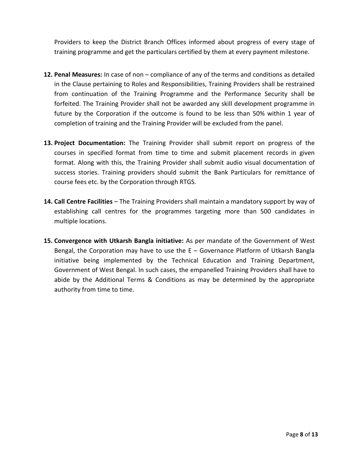Providers to keep the District Branch Offices informed about progress of every stage of training programme and get the particulars certified by them at every payment milestone.

- 12. Penal Measures: In case of non compliance of any of the terms and conditions as detailed in the Clause pertaining to Roles and Responsibilities, Training Providers shall be restrained from continuation of the Training Programme and the Performance Security shall be forfeited. The Training Provider shall not be awarded any skill development programme in future by the Corporation if the outcome is found to be less than 50% within 1 year of completion of training and the Training Provider will be excluded from the panel.
- 13. Project Documentation: The Training Provider shall submit report on progress of the courses in specified format from time to time and submit placement records in given format. Along with this, the Training Provider shall submit audio visual documentation of success stories. Training providers should submit the Bank Particulars for remittance of course fees etc. by the Corporation through RTGS.
- 14. Call Centre Facilities The Training Providers shall maintain a mandatory support by way of establishing call centres for the programmes targeting more than 500 candidates in multiple locations.
- 15. Convergence with Utkarsh Bangla initiative: As per mandate of the Government of West Bengal, the Corporation may have to use the E – Governance Platform of Utkarsh Bangla initiative being implemented by the Technical Education and Training Department, Government of West Bengal. In such cases, the empanelled Training Providers shall have to abide by the Additional Terms & Conditions as may be determined by the appropriate authority from time to time.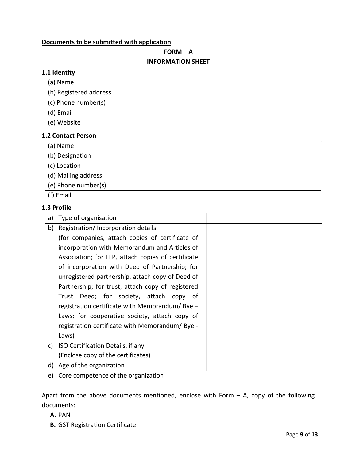#### Documents to be submitted with application

## $FORM - A$ INFORMATION SHEET

#### 1.1 Identity

| (a) Name               |  |
|------------------------|--|
| (b) Registered address |  |
| (c) Phone number(s)    |  |
| (d) Email              |  |
| (e) Website            |  |

#### 1.2 Contact Person

| (a) Name            |  |
|---------------------|--|
| (b) Designation     |  |
| (c) Location        |  |
| (d) Mailing address |  |
| (e) Phone number(s) |  |
| (f) Email           |  |

#### 1.3 Profile

| a) | Type of organisation                               |  |
|----|----------------------------------------------------|--|
| b) | Registration/Incorporation details                 |  |
|    | (for companies, attach copies of certificate of    |  |
|    | incorporation with Memorandum and Articles of      |  |
|    | Association; for LLP, attach copies of certificate |  |
|    | of incorporation with Deed of Partnership; for     |  |
|    | unregistered partnership, attach copy of Deed of   |  |
|    | Partnership; for trust, attach copy of registered  |  |
|    | Trust Deed; for society, attach copy of            |  |
|    | registration certificate with Memorandum/Bye $-$   |  |
|    | Laws; for cooperative society, attach copy of      |  |
|    | registration certificate with Memorandum/Bye -     |  |
|    | Laws)                                              |  |
|    | c) ISO Certification Details, if any               |  |
|    | (Enclose copy of the certificates)                 |  |
| d) | Age of the organization                            |  |
| e) | Core competence of the organization                |  |

Apart from the above documents mentioned, enclose with Form  $-$  A, copy of the following documents:

#### A. PAN

B. GST Registration Certificate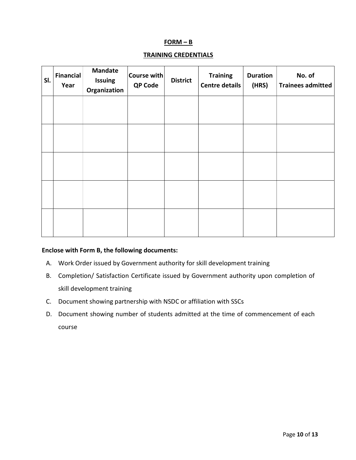#### $FORM - B$

### TRAINING CREDENTIALS

| SI. | <b>Financial</b><br>Year | <b>Mandate</b><br>Issuing<br>Organization | $ $ Course with $ $<br><b>QP Code</b> | <b>District</b> | <b>Training</b><br>Centre details | <b>Duration</b><br>(HRS) | No. of<br><b>Trainees admitted</b> |
|-----|--------------------------|-------------------------------------------|---------------------------------------|-----------------|-----------------------------------|--------------------------|------------------------------------|
|     |                          |                                           |                                       |                 |                                   |                          |                                    |
|     |                          |                                           |                                       |                 |                                   |                          |                                    |
|     |                          |                                           |                                       |                 |                                   |                          |                                    |
|     |                          |                                           |                                       |                 |                                   |                          |                                    |
|     |                          |                                           |                                       |                 |                                   |                          |                                    |

#### Enclose with Form B, the following documents:

- A. Work Order issued by Government authority for skill development training
- B. Completion/ Satisfaction Certificate issued by Government authority upon completion of skill development training
- C. Document showing partnership with NSDC or affiliation with SSCs
- D. Document showing number of students admitted at the time of commencement of each course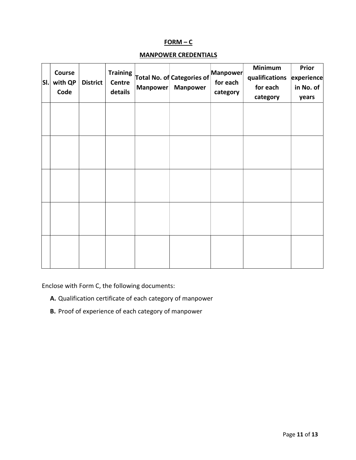#### $FORM - C$

#### MANPOWER CREDENTIALS

| SI. | Course<br>with QP<br>Code | <b>District</b> | <b>Training</b><br><b>Centre</b><br>details | <b>Manpower</b> | <b>Total No. of Categories of</b><br><b>Manpower</b> | Manpower<br>for each<br>category | <b>Minimum</b><br>qualifications<br>for each<br>category | Prior<br>experience<br>in No. of<br>years |
|-----|---------------------------|-----------------|---------------------------------------------|-----------------|------------------------------------------------------|----------------------------------|----------------------------------------------------------|-------------------------------------------|
|     |                           |                 |                                             |                 |                                                      |                                  |                                                          |                                           |
|     |                           |                 |                                             |                 |                                                      |                                  |                                                          |                                           |
|     |                           |                 |                                             |                 |                                                      |                                  |                                                          |                                           |
|     |                           |                 |                                             |                 |                                                      |                                  |                                                          |                                           |
|     |                           |                 |                                             |                 |                                                      |                                  |                                                          |                                           |

Enclose with Form C, the following documents:

- A. Qualification certificate of each category of manpower
- B. Proof of experience of each category of manpower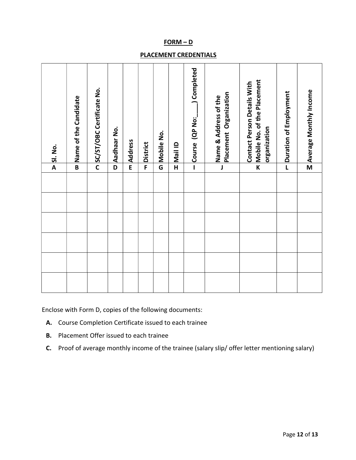#### FORM – D

#### PLACEMENT CREDENTIALS

|  |  |                         | <b>DISI</b> . No.                                                                 |
|--|--|-------------------------|-----------------------------------------------------------------------------------|
|  |  | $\overline{B}$          | Name of the Candidate                                                             |
|  |  |                         | OSC/ST/OBC Certificate No.                                                        |
|  |  | D                       | Aadhaar No.                                                                       |
|  |  | E                       | Address                                                                           |
|  |  | F                       | <b>District</b>                                                                   |
|  |  | G                       | Mobile No.                                                                        |
|  |  | $\overline{\mathsf{H}}$ | <b>Mail ID</b>                                                                    |
|  |  | $\mathbf{I}$            | Completed<br>Course (QP No:                                                       |
|  |  | J                       | Placement Organization<br>Name & Address of the                                   |
|  |  | $\mathsf K$             | Mobile No. of the Placement<br><b>Contact Person Details With</b><br>organization |
|  |  | L                       | Duration of Employment                                                            |
|  |  | $\overline{\mathsf{M}}$ | Average Monthly Income                                                            |
|  |  |                         |                                                                                   |
|  |  |                         |                                                                                   |
|  |  |                         |                                                                                   |
|  |  |                         |                                                                                   |

Enclose with Form D, copies of the following documents:

- A. Course Completion Certificate issued to each trainee
- B. Placement Offer issued to each trainee
- C. Proof of average monthly income of the trainee (salary slip/ offer letter mentioning salary)